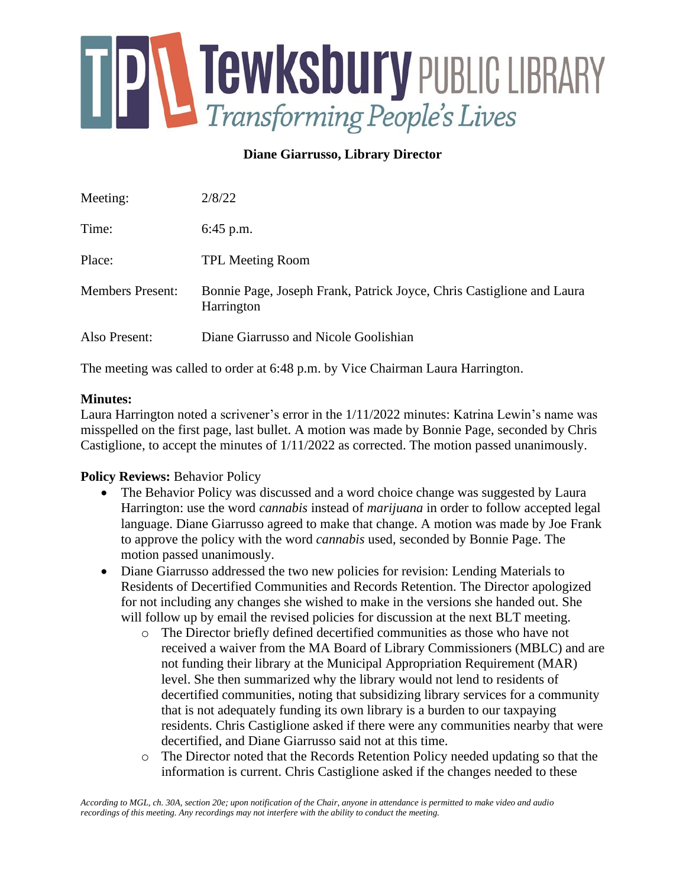

## **Diane Giarrusso, Library Director**

| Meeting:                | 2/8/22                                                                              |
|-------------------------|-------------------------------------------------------------------------------------|
| Time:                   | $6:45$ p.m.                                                                         |
| Place:                  | <b>TPL Meeting Room</b>                                                             |
| <b>Members Present:</b> | Bonnie Page, Joseph Frank, Patrick Joyce, Chris Castiglione and Laura<br>Harrington |
| Also Present:           | Diane Giarrusso and Nicole Goolishian                                               |

The meeting was called to order at 6:48 p.m. by Vice Chairman Laura Harrington.

### **Minutes:**

Laura Harrington noted a scrivener's error in the 1/11/2022 minutes: Katrina Lewin's name was misspelled on the first page, last bullet. A motion was made by Bonnie Page, seconded by Chris Castiglione, to accept the minutes of 1/11/2022 as corrected. The motion passed unanimously.

## **Policy Reviews:** Behavior Policy

- The Behavior Policy was discussed and a word choice change was suggested by Laura Harrington: use the word *cannabis* instead of *marijuana* in order to follow accepted legal language. Diane Giarrusso agreed to make that change. A motion was made by Joe Frank to approve the policy with the word *cannabis* used, seconded by Bonnie Page. The motion passed unanimously.
- Diane Giarrusso addressed the two new policies for revision: Lending Materials to Residents of Decertified Communities and Records Retention. The Director apologized for not including any changes she wished to make in the versions she handed out. She will follow up by email the revised policies for discussion at the next BLT meeting.
	- o The Director briefly defined decertified communities as those who have not received a waiver from the MA Board of Library Commissioners (MBLC) and are not funding their library at the Municipal Appropriation Requirement (MAR) level. She then summarized why the library would not lend to residents of decertified communities, noting that subsidizing library services for a community that is not adequately funding its own library is a burden to our taxpaying residents. Chris Castiglione asked if there were any communities nearby that were decertified, and Diane Giarrusso said not at this time.
	- o The Director noted that the Records Retention Policy needed updating so that the information is current. Chris Castiglione asked if the changes needed to these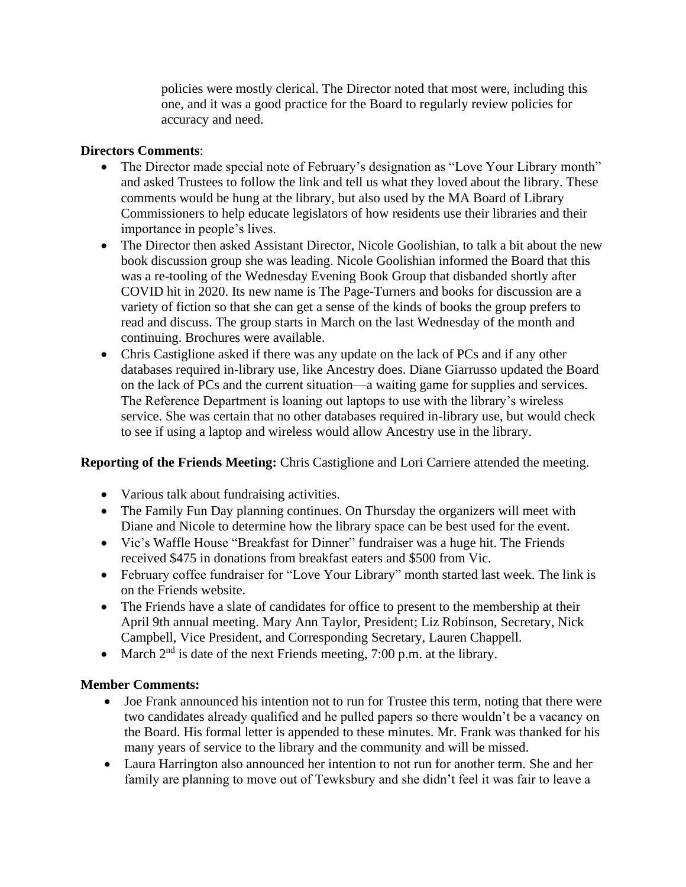policies were mostly clerical. The Director noted that most were, including this one, and it was a good practice for the Board to regularly review policies for accuracy and need.

## **Directors Comments**:

- The Director made special note of February's designation as "Love Your Library month" and asked Trustees to follow the link and tell us what they loved about the library. These comments would be hung at the library, but also used by the MA Board of Library Commissioners to help educate legislators of how residents use their libraries and their importance in people's lives.
- The Director then asked Assistant Director, Nicole Goolishian, to talk a bit about the new book discussion group she was leading. Nicole Goolishian informed the Board that this was a re-tooling of the Wednesday Evening Book Group that disbanded shortly after COVID hit in 2020. Its new name is The Page-Turners and books for discussion are a variety of fiction so that she can get a sense of the kinds of books the group prefers to read and discuss. The group starts in March on the last Wednesday of the month and continuing. Brochures were available.
- Chris Castiglione asked if there was any update on the lack of PCs and if any other databases required in-library use, like Ancestry does. Diane Giarrusso updated the Board on the lack of PCs and the current situation—a waiting game for supplies and services. The Reference Department is loaning out laptops to use with the library's wireless service. She was certain that no other databases required in-library use, but would check to see if using a laptop and wireless would allow Ancestry use in the library.

# **Reporting of the Friends Meeting:** Chris Castiglione and Lori Carriere attended the meeting.

- Various talk about fundraising activities.
- The Family Fun Day planning continues. On Thursday the organizers will meet with Diane and Nicole to determine how the library space can be best used for the event.
- Vic's Waffle House "Breakfast for Dinner" fundraiser was a huge hit. The Friends received \$475 in donations from breakfast eaters and \$500 from Vic.
- February coffee fundraiser for "Love Your Library" month started last week. The link is on the Friends website.
- The Friends have a slate of candidates for office to present to the membership at their April 9th annual meeting. Mary Ann Taylor, President; Liz Robinson, Secretary, Nick Campbell, Vice President, and Corresponding Secretary, Lauren Chappell.
- March  $2<sup>nd</sup>$  is date of the next Friends meeting, 7:00 p.m. at the library.

## **Member Comments:**

- Joe Frank announced his intention not to run for Trustee this term, noting that there were two candidates already qualified and he pulled papers so there wouldn't be a vacancy on the Board. His formal letter is appended to these minutes. Mr. Frank was thanked for his many years of service to the library and the community and will be missed.
- Laura Harrington also announced her intention to not run for another term. She and her family are planning to move out of Tewksbury and she didn't feel it was fair to leave a